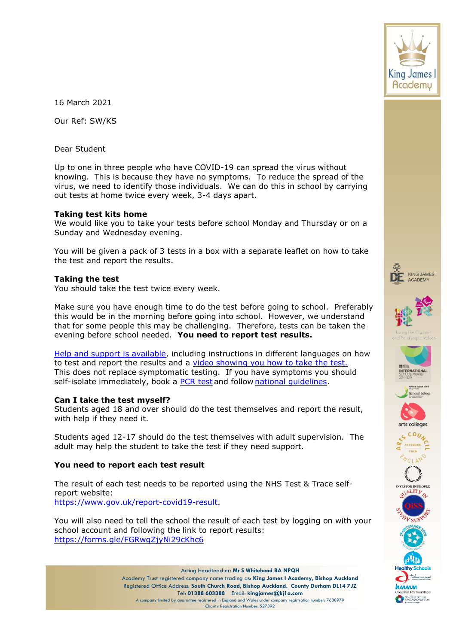

16 March 2021

Our Ref: SW/KS

Dear Student

Up to one in three people who have COVID-19 can spread the virus without knowing. This is because they have no symptoms. To reduce the spread of the virus, we need to identify those individuals. We can do this in school by carrying out tests at home twice every week, 3-4 days apart.

### **Taking test kits home**

We would like you to take your tests before school Monday and Thursday or on a Sunday and Wednesday evening.

You will be given a pack of 3 tests in a box with a separate leaflet on how to take the test and report the results.

## **Taking the test**

You should take the test twice every week.

Make sure you have enough time to do the test before going to school. Preferably this would be in the morning before going into school. However, we understand that for some people this may be challenging. Therefore, tests can be taken the evening before school needed. **You need to report test results.**

[Help and support is available,](https://www.gov.uk/guidance/covid-19-self-test-help) including instructions in different languages on how to test and report the results and a [video showing you how to take](https://www.youtube.com/watch?v=S9XR8RZxKNo&list=PLvaBZskxS7tzQYlVg7lwH5uxAD9UrSzGJ&index=1) the test. This does not replace symptomatic testing. If you have symptoms you should self-isolate immediately, book a [PCR test](https://www.gov.uk/get-coronavirus-test%22%20/t%20%22_blank) and follow [national guidelines](https://www.nhs.uk/conditions/coronavirus-covid-19/symptoms/%22%20/t%20%22_blank).  

## **Can I take the test myself?**

Students aged 18 and over should do the test themselves and report the result, with help if they need it.

Students aged 12-17 should do the test themselves with adult supervision. The adult may help the student to take the test if they need support.

## **You need to report each test result**

The result of each test needs to be reported using the NHS Test & Trace selfreport website: [https://www.gov.uk/report-covid19-result.](https://www.gov.uk/report-covid19-result)

You will also need to tell the school the result of each test by logging on with your school account and following the link to report results: <https://forms.gle/FGRwqZjyNi29cKhc6>







**ACADEMY** 













pecialist Schools<br>nd Academies Trus